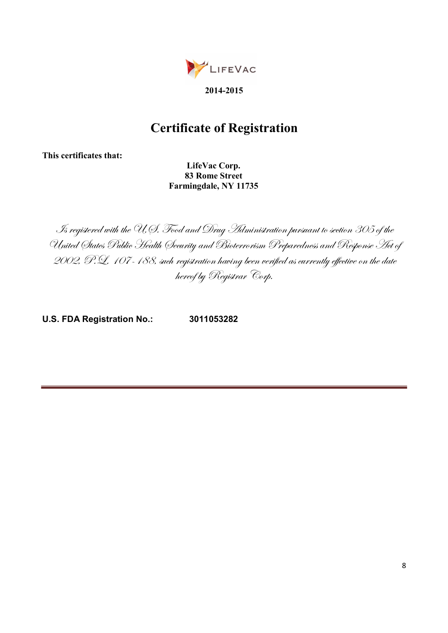

## Certificate of Registration

This certificates that:

 LifeVac Corp. 83 Rome Street Farmingdale, NY 11735

Is registered with the U.S. Food and Drug Administration pursuant to section 305 of the United States Public Health Security and Bioterrorism Preparedness and Response Act of 2002, P.L. 107-188, such registration having been verified as currently effective on the date hereof by Registrar Corp.

U.S. FDA Registration No.: 3011053282